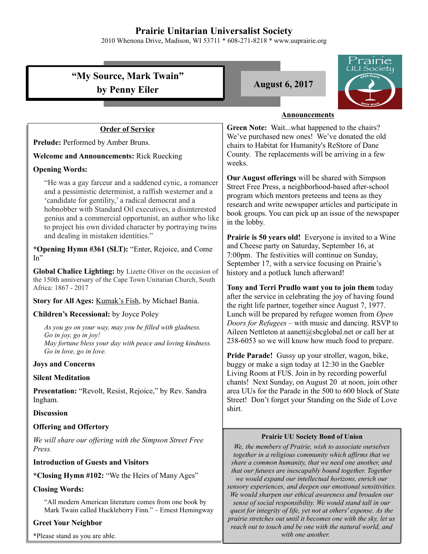# **Prairie Unitarian Universalist Society**

2010 Whenona Drive, Madison, WI 53711 \* 608-271-8218 \* www.uuprairie.org

|                                                                                                                                                                                                                                                                                                                                                                                                     | Prairie<br><u>JU Soci</u> ety                                                                                                                                                                                                                                                                       |
|-----------------------------------------------------------------------------------------------------------------------------------------------------------------------------------------------------------------------------------------------------------------------------------------------------------------------------------------------------------------------------------------------------|-----------------------------------------------------------------------------------------------------------------------------------------------------------------------------------------------------------------------------------------------------------------------------------------------------|
| "My Source, Mark Twain"                                                                                                                                                                                                                                                                                                                                                                             |                                                                                                                                                                                                                                                                                                     |
| by Penny Eiler                                                                                                                                                                                                                                                                                                                                                                                      | <b>August 6, 2017</b>                                                                                                                                                                                                                                                                               |
|                                                                                                                                                                                                                                                                                                                                                                                                     |                                                                                                                                                                                                                                                                                                     |
|                                                                                                                                                                                                                                                                                                                                                                                                     | <b>Announcements</b>                                                                                                                                                                                                                                                                                |
| <b>Order of Service</b>                                                                                                                                                                                                                                                                                                                                                                             | Green Note: Waitwhat happened to the chairs?                                                                                                                                                                                                                                                        |
| Prelude: Performed by Amber Bruns.                                                                                                                                                                                                                                                                                                                                                                  | We've purchased new ones! We've donated the old<br>chairs to Habitat for Humanity's ReStore of Dane                                                                                                                                                                                                 |
| <b>Welcome and Announcements: Rick Ruecking</b>                                                                                                                                                                                                                                                                                                                                                     | County. The replacements will be arriving in a few<br>weeks.                                                                                                                                                                                                                                        |
| <b>Opening Words:</b>                                                                                                                                                                                                                                                                                                                                                                               |                                                                                                                                                                                                                                                                                                     |
| "He was a gay farceur and a saddened cynic, a romancer<br>and a pessimistic determinist, a raffish westerner and a<br>'candidate for gentility,' a radical democrat and a<br>hobnobber with Standard Oil executives, a disinterested<br>genius and a commercial opportunist, an author who like<br>to project his own divided character by portraying twins<br>and dealing in mistaken identities." | Our August offerings will be shared with Simpson<br>Street Free Press, a neighborhood-based after-school<br>program which mentors preteens and teens as they<br>research and write newspaper articles and participate in<br>book groups. You can pick up an issue of the newspaper<br>in the lobby. |
| *Opening Hymn #361 (SLT): "Enter, Rejoice, and Come<br>$In$ "                                                                                                                                                                                                                                                                                                                                       | <b>Prairie is 50 years old!</b> Everyone is invited to a Wine<br>and Cheese party on Saturday, September 16, at<br>7:00pm. The festivities will continue on Sunday,                                                                                                                                 |
| Global Chalice Lighting: by Lizette Oliver on the occasion of<br>the 150th anniversary of the Cape Town Unitarian Church, South<br>Africa: 1867 - 2017                                                                                                                                                                                                                                              | September 17, with a service focusing on Prairie's<br>history and a potluck lunch afterward!<br>Tony and Terri Prudlo want you to join them today                                                                                                                                                   |
| Story for All Ages: <i>Kumak's Fish</i> , by Michael Bania.                                                                                                                                                                                                                                                                                                                                         | after the service in celebrating the joy of having found<br>the right life partner, together since August 7, 1977.                                                                                                                                                                                  |
| Children's Recessional: by Joyce Poley                                                                                                                                                                                                                                                                                                                                                              | Lunch will be prepared by refugee women from Open                                                                                                                                                                                                                                                   |
| As you go on your way, may you be filled with gladness.<br>Go in joy, go in joy!<br>May fortune bless your day with peace and loving kindness.<br>Go in love, go in love.                                                                                                                                                                                                                           | Doors for Refugees – with music and dancing. RSVP to<br>Aileen Nettleton at aanett@sbcglobal.net or call her at<br>238-6053 so we will know how much food to prepare.                                                                                                                               |
| <b>Joys and Concerns</b>                                                                                                                                                                                                                                                                                                                                                                            | Pride Parade! Gussy up your stroller, wagon, bike,<br>buggy or make a sign today at 12:30 in the Gaebler                                                                                                                                                                                            |
| <b>Silent Meditation</b>                                                                                                                                                                                                                                                                                                                                                                            | Living Room at FUS. Join in by recording powerful                                                                                                                                                                                                                                                   |
| Presentation: "Revolt, Resist, Rejoice," by Rev. Sandra<br>Ingham.                                                                                                                                                                                                                                                                                                                                  | chants! Next Sunday, on August 20 at noon, join other<br>area UUs for the Parade in the 500 to 600 block of State<br>Street! Don't forget your Standing on the Side of Love                                                                                                                         |
| <b>Discussion</b>                                                                                                                                                                                                                                                                                                                                                                                   | shirt.                                                                                                                                                                                                                                                                                              |
| <b>Offering and Offertory</b>                                                                                                                                                                                                                                                                                                                                                                       |                                                                                                                                                                                                                                                                                                     |
| We will share our offering with the Simpson Street Free<br>Press.                                                                                                                                                                                                                                                                                                                                   | <b>Prairie UU Society Bond of Union</b><br>We, the members of Prairie, wish to associate ourselves<br>together in a religious community which affirms that we                                                                                                                                       |
| <b>Introduction of Guests and Visitors</b>                                                                                                                                                                                                                                                                                                                                                          | share a common humanity, that we need one another, and                                                                                                                                                                                                                                              |
| *Closing Hymn #102: "We the Heirs of Many Ages"                                                                                                                                                                                                                                                                                                                                                     | that our futures are inescapably bound together. Together<br>we would expand our intellectual horizons, enrich our                                                                                                                                                                                  |
| <b>Closing Words:</b>                                                                                                                                                                                                                                                                                                                                                                               | sensory experiences, and deepen our emotional sensitivities.<br>We would sharpen our ethical awareness and broaden our                                                                                                                                                                              |
| "All modern American literature comes from one book by<br>Mark Twain called Huckleberry Finn." - Ernest Hemingway                                                                                                                                                                                                                                                                                   | sense of social responsibility. We would stand tall in our<br>quest for integrity of life, yet not at others' expense. As the<br>prairie stretches out until it becomes one with the sky, let us                                                                                                    |
| <b>Greet Your Neighbor</b>                                                                                                                                                                                                                                                                                                                                                                          | reach out to touch and be one with the natural world, and                                                                                                                                                                                                                                           |

\*Please stand as you are able.

*with one another.*